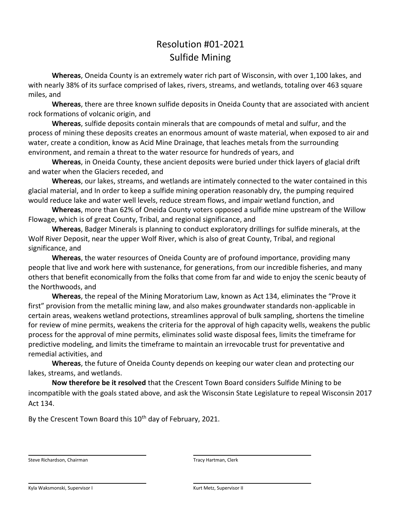# Resolution #01-2021 Sulfide Mining

**Whereas**, Oneida County is an extremely water rich part of Wisconsin, with over 1,100 lakes, and with nearly 38% of its surface comprised of lakes, rivers, streams, and wetlands, totaling over 463 square miles, and

**Whereas**, there are three known sulfide deposits in Oneida County that are associated with ancient rock formations of volcanic origin, and

**Whereas**, sulfide deposits contain minerals that are compounds of metal and sulfur, and the process of mining these deposits creates an enormous amount of waste material, when exposed to air and water, create a condition, know as Acid Mine Drainage, that leaches metals from the surrounding environment, and remain a threat to the water resource for hundreds of years, and

**Whereas**, in Oneida County, these ancient deposits were buried under thick layers of glacial drift and water when the Glaciers receded, and

**Whereas**, our lakes, streams, and wetlands are intimately connected to the water contained in this glacial material, and In order to keep a sulfide mining operation reasonably dry, the pumping required would reduce lake and water well levels, reduce stream flows, and impair wetland function, and

**Whereas**, more than 62% of Oneida County voters opposed a sulfide mine upstream of the Willow Flowage, which is of great County, Tribal, and regional significance, and

**Whereas**, Badger Minerals is planning to conduct exploratory drillings for sulfide minerals, at the Wolf River Deposit, near the upper Wolf River, which is also of great County, Tribal, and regional significance, and

**Whereas**, the water resources of Oneida County are of profound importance, providing many people that live and work here with sustenance, for generations, from our incredible fisheries, and many others that benefit economically from the folks that come from far and wide to enjoy the scenic beauty of the Northwoods, and

**Whereas**, the repeal of the Mining Moratorium Law, known as Act 134, eliminates the "Prove it first" provision from the metallic mining law, and also makes groundwater standards non-applicable in certain areas, weakens wetland protections, streamlines approval of bulk sampling, shortens the timeline for review of mine permits, weakens the criteria for the approval of high capacity wells, weakens the public process for the approval of mine permits, eliminates solid waste disposal fees, limits the timeframe for predictive modeling, and limits the timeframe to maintain an irrevocable trust for preventative and remedial activities, and

**Whereas**, the future of Oneida County depends on keeping our water clean and protecting our lakes, streams, and wetlands.

**Now therefore be it resolved** that the Crescent Town Board considers Sulfide Mining to be incompatible with the goals stated above, and ask the Wisconsin State Legislature to repeal Wisconsin 2017 Act 134.

By the Crescent Town Board this 10<sup>th</sup> day of February, 2021.

Steve Richardson, Chairman Tracy Hartman, Clerk

Kyla Waksmonski, Supervisor I Kyla Waksmonski, Supervisor II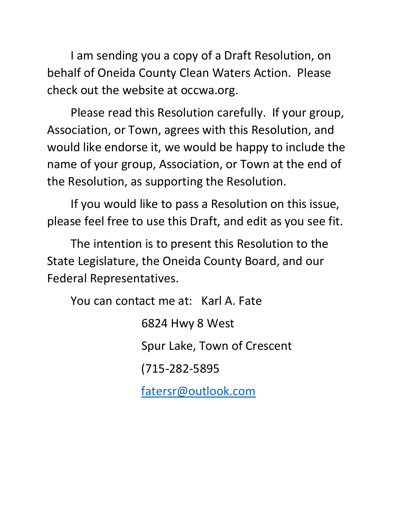I am sending you a copy of a Draft Resolution, on behalf of Oneida County Clean Waters Action. Please check out the website at occwa.org.

Please read this Resolution carefully. If your group, Association, or Town, agrees with this Resolution, and would like endorse it, we would be happy to include the name of your group, Association, or Town at the end of the Resolution, as supporting the Resolution.

If you would like to pass a Resolution on this issue, please feel free to use this Draft, and edit as you see fit.

The intention is to present this Resolution to the State Legislature, the Oneida County Board, and our Federal Representatives.

You can contact me at: Karl A. Fate

6824 Hwy 8 West Spur Lake, Town of Crescent (715-282-5895 [fatersr@outlook.com](mailto:fatersr@outlook.com)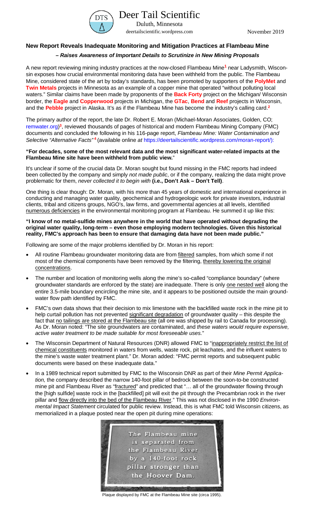

Duluth, Minnesota [deertailscientific.wordpress.com](https://deertailscientific.wordpress.com/) November 2019

## **New Report Reveals Inadequate Monitoring and Mitigation Practices at Flambeau Mine**

### *– Raises Awareness of Important Details to Scrutinize in New Mining Proposals*

A new report reviewing mining industry practices at the now-closed Flambeau Mine**<sup>1</sup>** near Ladysmith, Wisconsin exposes how crucial environmental monitoring data have been withheld from the public. The Flambeau Mine, considered state of the art by today's standards, has been promoted by supporters of the **PolyMet** and **Twin Metals** projects in Minnesota as an example of a copper mine that operated "without polluting local waters." Similar claims have been made by proponents of the **Back Forty** project on the Michigan/ Wisconsin border, the **Eagle** and **Copperwood** projects in Michigan, the **GTac**, **Bend** and **Reef** projects in Wisconsin, and the **Pebble** project in Alaska. It's as if the Flambeau Mine has become the industry's calling card.**<sup>2</sup>**

The primary author of the report, the late Dr. Robert E. Moran (Michael-Moran Associates, Golden, CO; [remwater.org\)](https://remwater.org/) **<sup>3</sup>**, reviewed thousands of pages of historical and modern Flambeau Mining Company (FMC) documents and concluded the following in his 116-page report, *Flambeau Mine: Water Contamination and Selective "Alternative Facts"* **<sup>4</sup>**(available online *at* [https://deertailscientific.wordpress.com/moran-report/\)](https://deertailscientific.wordpress.com/moran-report/):

#### **"For decades, some of the most relevant data and the most significant water-related impacts at the Flambeau Mine site have been withheld from public view.**"

It's unclear if some of the crucial data Dr. Moran sought but found missing in the FMC reports had indeed been collected by the company and simply *not made public*, or if the company, realizing the data might prove problematic for them, *never collected it to begin with* **(i.e., Don't Ask – Don't Tell)**.

One thing is clear though: Dr. Moran, with his more than 45 years of domestic and international experience in conducting and managing water quality, geochemical and hydrogeologic work for private investors, industrial clients, tribal and citizens groups, NGO's, law firms, and governmental agencies at all levels, identified numerous deficiencies in the environmental monitoring program at Flambeau. He summed it up like this:

#### **"I know of no metal-sulfide mines anywhere in the world that have operated without degrading the original water quality, long-term – even those employing modern technologies. Given this historical reality, FMC's approach has been to ensure that damaging data have not been made public."**

Following are some of the major problems identified by Dr. Moran in his report:

- All routine Flambeau groundwater monitoring data are from filtered samples, from which some if not most of the chemical components have been removed by the filtering, thereby lowering the original concentrations.
- The number and location of monitoring wells along the mine's so-called "compliance boundary" (where groundwater standards are enforced by the state) are inadequate. There is only one nested well along the entire 3.5-mile boundary encircling the mine site, and it appears to be positioned outside the main groundwater flow path identified by FMC.
- FMC's own data shows that their decision to mix limestone with the backfilled waste rock in the mine pit to help curtail pollution has not prevented significant degradation of groundwater quality – this despite the fact that no tailings are stored at the Flambeau site (all ore was shipped by rail to Canada for processing). As Dr. Moran noted: "The site groundwaters are contaminated, and *these waters would require expensive, active water treatment to be made suitable for most foreseeable uses.*"
- The Wisconsin Department of Natural Resources (DNR) allowed FMC to "inappropriately restrict the list of chemical constituents monitored in waters from wells, waste rock, pit leachates, and the influent waters to the mine's waste water treatment plant." Dr. Moran added: "FMC permit reports and subsequent public documents were based on these inadequate data."
- In a 1989 technical report submitted by FMC to the Wisconsin DNR as part of their *Mine Permit Application,* the company described the narrow 140-foot pillar of bedrock between the soon-to-be constructed mine pit and Flambeau River as "fractured" and predicted that "... all of the groundwater flowing through the [high sulfide] waste rock in the [backfilled] pit will exit the pit through the Precambrian rock in the river pillar and flow directly into the bed of the Flambeau River." This was not disclosed in the 1990 *Environmental Impact Statement* circulated for public review. Instead, this is what FMC told Wisconsin citizens, as memorialized in a plaque posted near the open pit during mine operations:



Plaque displayed by FMC at the Flambeau Mine site (circa 1995).